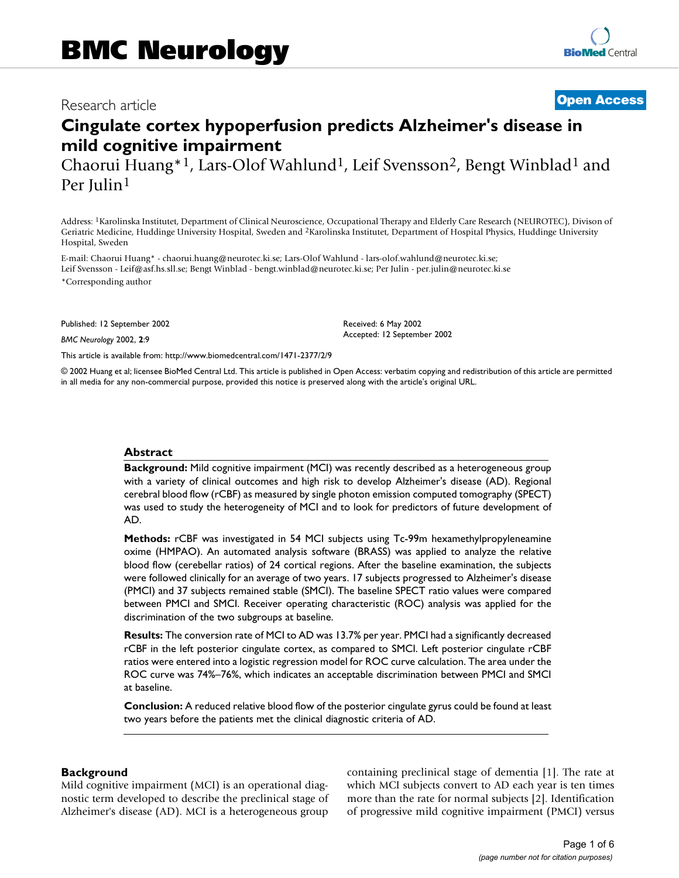# Besearch article **Contract Contract Contract Contract Contract Contract Contract Contract Contract Contract Contract Contract Contract Contract Contract Contract Contract Contract Contract Contract Contract Contract Contra**

# **Cingulate cortex hypoperfusion predicts Alzheimer's disease in mild cognitive impairment**

Chaorui Huang\*1, Lars-Olof Wahlund1, Leif Svensson2, Bengt Winblad1 and Per Julin1

Address: 1Karolinska Institutet, Department of Clinical Neuroscience, Occupational Therapy and Elderly Care Research (NEUROTEC), Divison of Geriatric Medicine, Huddinge University Hospital, Sweden and 2Karolinska Institutet, Department of Hospital Physics, Huddinge University Hospital, Sweden

E-mail: Chaorui Huang\* - chaorui.huang@neurotec.ki.se; Lars-Olof Wahlund - lars-olof.wahlund@neurotec.ki.se; Leif Svensson - Leif@asf.hs.sll.se; Bengt Winblad - bengt.winblad@neurotec.ki.se; Per Julin - per.julin@neurotec.ki.se \*Corresponding author

Published: 12 September 2002

*BMC Neurology* 2002, **2**:9

[This article is available from: http://www.biomedcentral.com/1471-2377/2/9](http://www.biomedcentral.com/1471-2377/2/9)

© 2002 Huang et al; licensee BioMed Central Ltd. This article is published in Open Access: verbatim copying and redistribution of this article are permitted in all media for any non-commercial purpose, provided this notice is preserved along with the article's original URL.

Received: 6 May 2002 Accepted: 12 September 2002

#### **Abstract**

**Background:** Mild cognitive impairment (MCI) was recently described as a heterogeneous group with a variety of clinical outcomes and high risk to develop Alzheimer's disease (AD). Regional cerebral blood flow (rCBF) as measured by single photon emission computed tomography (SPECT) was used to study the heterogeneity of MCI and to look for predictors of future development of AD.

**Methods:** rCBF was investigated in 54 MCI subjects using Tc-99m hexamethylpropyleneamine oxime (HMPAO). An automated analysis software (BRASS) was applied to analyze the relative blood flow (cerebellar ratios) of 24 cortical regions. After the baseline examination, the subjects were followed clinically for an average of two years. 17 subjects progressed to Alzheimer's disease (PMCI) and 37 subjects remained stable (SMCI). The baseline SPECT ratio values were compared between PMCI and SMCI. Receiver operating characteristic (ROC) analysis was applied for the discrimination of the two subgroups at baseline.

**Results:** The conversion rate of MCI to AD was 13.7% per year. PMCI had a significantly decreased rCBF in the left posterior cingulate cortex, as compared to SMCI. Left posterior cingulate rCBF ratios were entered into a logistic regression model for ROC curve calculation. The area under the ROC curve was 74%–76%, which indicates an acceptable discrimination between PMCI and SMCI at baseline.

**Conclusion:** A reduced relative blood flow of the posterior cingulate gyrus could be found at least two years before the patients met the clinical diagnostic criteria of AD.

#### **Background**

Mild cognitive impairment (MCI) is an operational diagnostic term developed to describe the preclinical stage of Alzheimer's disease (AD). MCI is a heterogeneous group containing preclinical stage of dementia [1]. The rate at which MCI subjects convert to AD each year is ten times more than the rate for normal subjects [2]. Identification of progressive mild cognitive impairment (PMCI) versus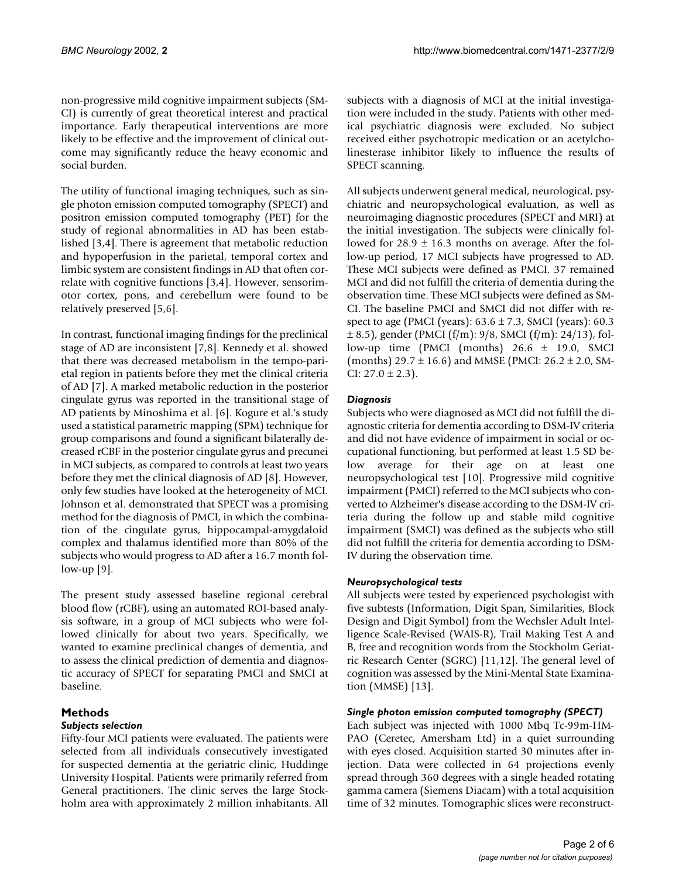non-progressive mild cognitive impairment subjects (SM-CI) is currently of great theoretical interest and practical importance. Early therapeutical interventions are more likely to be effective and the improvement of clinical outcome may significantly reduce the heavy economic and social burden.

The utility of functional imaging techniques, such as single photon emission computed tomography (SPECT) and positron emission computed tomography (PET) for the study of regional abnormalities in AD has been established [3,4]. There is agreement that metabolic reduction and hypoperfusion in the parietal, temporal cortex and limbic system are consistent findings in AD that often correlate with cognitive functions [3,4]. However, sensorimotor cortex, pons, and cerebellum were found to be relatively preserved [5,6].

In contrast, functional imaging findings for the preclinical stage of AD are inconsistent [7,8]. Kennedy et al. showed that there was decreased metabolism in the tempo-parietal region in patients before they met the clinical criteria of AD [7]. A marked metabolic reduction in the posterior cingulate gyrus was reported in the transitional stage of AD patients by Minoshima et al. [6]. Kogure et al.'s study used a statistical parametric mapping (SPM) technique for group comparisons and found a significant bilaterally decreased rCBF in the posterior cingulate gyrus and precunei in MCI subjects, as compared to controls at least two years before they met the clinical diagnosis of AD [8]. However, only few studies have looked at the heterogeneity of MCI. Johnson et al. demonstrated that SPECT was a promising method for the diagnosis of PMCI, in which the combination of the cingulate gyrus, hippocampal-amygdaloid complex and thalamus identified more than 80% of the subjects who would progress to AD after a 16.7 month follow-up  $[9]$ .

The present study assessed baseline regional cerebral blood flow (rCBF), using an automated ROI-based analysis software, in a group of MCI subjects who were followed clinically for about two years. Specifically, we wanted to examine preclinical changes of dementia, and to assess the clinical prediction of dementia and diagnostic accuracy of SPECT for separating PMCI and SMCI at baseline.

### **Methods** *Subjects selection*

Fifty-four MCI patients were evaluated. The patients were selected from all individuals consecutively investigated for suspected dementia at the geriatric clinic, Huddinge University Hospital. Patients were primarily referred from General practitioners. The clinic serves the large Stockholm area with approximately 2 million inhabitants. All

subjects with a diagnosis of MCI at the initial investigation were included in the study. Patients with other medical psychiatric diagnosis were excluded. No subject received either psychotropic medication or an acetylcholinesterase inhibitor likely to influence the results of SPECT scanning.

All subjects underwent general medical, neurological, psychiatric and neuropsychological evaluation, as well as neuroimaging diagnostic procedures (SPECT and MRI) at the initial investigation. The subjects were clinically followed for  $28.9 \pm 16.3$  months on average. After the follow-up period, 17 MCI subjects have progressed to AD. These MCI subjects were defined as PMCI. 37 remained MCI and did not fulfill the criteria of dementia during the observation time. These MCI subjects were defined as SM-CI. The baseline PMCI and SMCI did not differ with respect to age (PMCI (years):  $63.6 \pm 7.3$ , SMCI (years):  $60.3$  $\pm$  8.5), gender (PMCI (f/m): 9/8, SMCI (f/m): 24/13), follow-up time (PMCI (months)  $26.6 \pm 19.0$ , SMCI (months)  $29.7 \pm 16.6$ ) and MMSE (PMCI:  $26.2 \pm 2.0$ , SM-CI:  $27.0 \pm 2.3$ ).

# *Diagnosis*

Subjects who were diagnosed as MCI did not fulfill the diagnostic criteria for dementia according to DSM-IV criteria and did not have evidence of impairment in social or occupational functioning, but performed at least 1.5 SD below average for their age on at least one neuropsychological test [10]. Progressive mild cognitive impairment (PMCI) referred to the MCI subjects who converted to Alzheimer's disease according to the DSM-IV criteria during the follow up and stable mild cognitive impairment (SMCI) was defined as the subjects who still did not fulfill the criteria for dementia according to DSM-IV during the observation time.

# *Neuropsychological tests*

All subjects were tested by experienced psychologist with five subtests (Information, Digit Span, Similarities, Block Design and Digit Symbol) from the Wechsler Adult Intelligence Scale-Revised (WAIS-R), Trail Making Test A and B, free and recognition words from the Stockholm Geriatric Research Center (SGRC) [11,12]. The general level of cognition was assessed by the Mini-Mental State Examination (MMSE) [13].

# *Single photon emission computed tomography (SPECT)*

Each subject was injected with 1000 Mbq Tc-99m-HM-PAO (Ceretec, Amersham Ltd) in a quiet surrounding with eyes closed. Acquisition started 30 minutes after injection. Data were collected in 64 projections evenly spread through 360 degrees with a single headed rotating gamma camera (Siemens Diacam) with a total acquisition time of 32 minutes. Tomographic slices were reconstruct-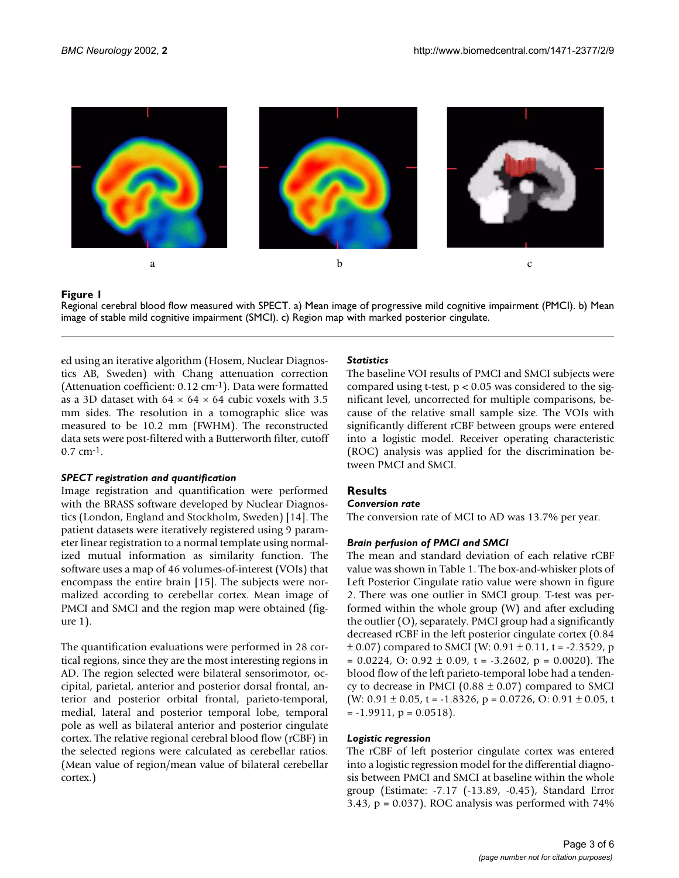

#### **Figure 1**

Regional cerebral blood flow measured with SPECT. a) Mean image of progressive mild cognitive impairment (PMCI). b) Mean image of stable mild cognitive impairment (SMCI). c) Region map with marked posterior cingulate.

ed using an iterative algorithm (Hosem, Nuclear Diagnostics AB, Sweden) with Chang attenuation correction (Attenuation coefficient: 0.12 cm-1). Data were formatted as a 3D dataset with  $64 \times 64 \times 64$  cubic voxels with 3.5 mm sides. The resolution in a tomographic slice was measured to be 10.2 mm (FWHM). The reconstructed data sets were post-filtered with a Butterworth filter, cutoff 0.7 cm-1.

#### *SPECT registration and quantification*

Image registration and quantification were performed with the BRASS software developed by Nuclear Diagnostics (London, England and Stockholm, Sweden) [14]. The patient datasets were iteratively registered using 9 parameter linear registration to a normal template using normalized mutual information as similarity function. The software uses a map of 46 volumes-of-interest (VOIs) that encompass the entire brain [15]. The subjects were normalized according to cerebellar cortex. Mean image of PMCI and SMCI and the region map were obtained (figure 1).

The quantification evaluations were performed in 28 cortical regions, since they are the most interesting regions in AD. The region selected were bilateral sensorimotor, occipital, parietal, anterior and posterior dorsal frontal, anterior and posterior orbital frontal, parieto-temporal, medial, lateral and posterior temporal lobe, temporal pole as well as bilateral anterior and posterior cingulate cortex. The relative regional cerebral blood flow (rCBF) in the selected regions were calculated as cerebellar ratios. (Mean value of region/mean value of bilateral cerebellar cortex.)

### *Statistics*

The baseline VOI results of PMCI and SMCI subjects were compared using t-test,  $p < 0.05$  was considered to the significant level, uncorrected for multiple comparisons, because of the relative small sample size. The VOIs with significantly different rCBF between groups were entered into a logistic model. Receiver operating characteristic (ROC) analysis was applied for the discrimination between PMCI and SMCI.

# **Results**

#### *Conversion rate*

The conversion rate of MCI to AD was 13.7% per year.

#### *Brain perfusion of PMCI and SMCI*

The mean and standard deviation of each relative rCBF value was shown in Table 1. The box-and-whisker plots of Left Posterior Cingulate ratio value were shown in figure 2. There was one outlier in SMCI group. T-test was performed within the whole group (W) and after excluding the outlier (O), separately. PMCI group had a significantly decreased rCBF in the left posterior cingulate cortex (0.84  $\pm$  0.07) compared to SMCI (W: 0.91  $\pm$  0.11, t = -2.3529, p  $= 0.0224$ , O:  $0.92 \pm 0.09$ , t = -3.2602, p = 0.0020). The blood flow of the left parieto-temporal lobe had a tendency to decrease in PMCI (0.88  $\pm$  0.07) compared to SMCI (W: 0.91  $\pm$  0.05, t = -1.8326, p = 0.0726, O: 0.91  $\pm$  0.05, t  $= -1.9911$ ,  $p = 0.0518$ ).

#### *Logistic regression*

The rCBF of left posterior cingulate cortex was entered into a logistic regression model for the differential diagnosis between PMCI and SMCI at baseline within the whole group (Estimate: -7.17 (-13.89, -0.45), Standard Error 3.43,  $p = 0.037$ ). ROC analysis was performed with  $74\%$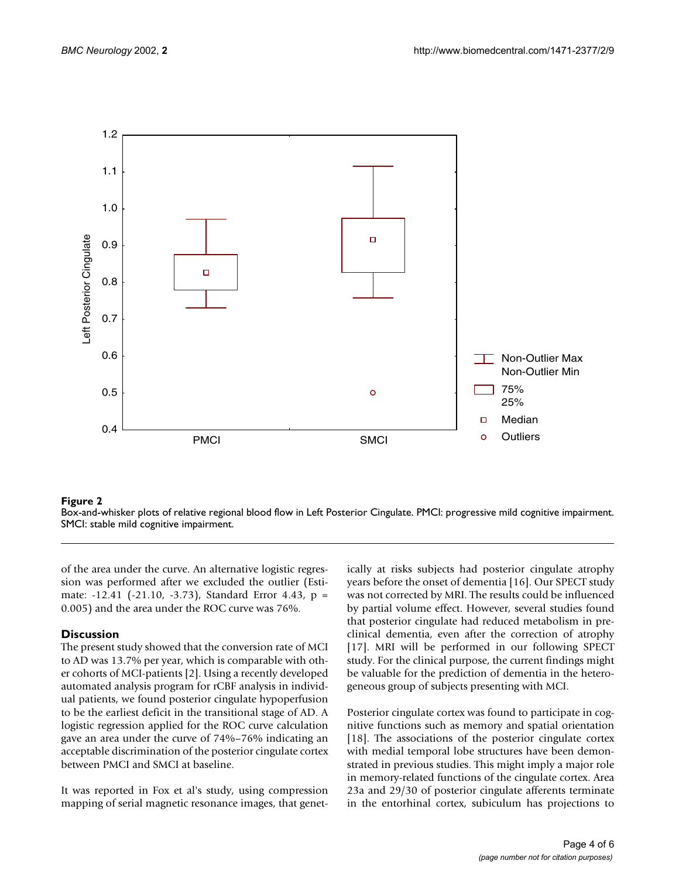

#### **Figure 2**

Box-and-whisker plots of relative regional blood flow in Left Posterior Cingulate. PMCI: progressive mild cognitive impairment. SMCI: stable mild cognitive impairment.

of the area under the curve. An alternative logistic regression was performed after we excluded the outlier (Estimate: -12.41 (-21.10, -3.73), Standard Error 4.43, p = 0.005) and the area under the ROC curve was 76%.

#### **Discussion**

The present study showed that the conversion rate of MCI to AD was 13.7% per year, which is comparable with other cohorts of MCI-patients [2]. Using a recently developed automated analysis program for rCBF analysis in individual patients, we found posterior cingulate hypoperfusion to be the earliest deficit in the transitional stage of AD. A logistic regression applied for the ROC curve calculation gave an area under the curve of 74%–76% indicating an acceptable discrimination of the posterior cingulate cortex between PMCI and SMCI at baseline.

It was reported in Fox et al's study, using compression mapping of serial magnetic resonance images, that genetically at risks subjects had posterior cingulate atrophy years before the onset of dementia [16]. Our SPECT study was not corrected by MRI. The results could be influenced by partial volume effect. However, several studies found that posterior cingulate had reduced metabolism in preclinical dementia, even after the correction of atrophy [17]. MRI will be performed in our following SPECT study. For the clinical purpose, the current findings might be valuable for the prediction of dementia in the heterogeneous group of subjects presenting with MCI.

Posterior cingulate cortex was found to participate in cognitive functions such as memory and spatial orientation [18]. The associations of the posterior cingulate cortex with medial temporal lobe structures have been demonstrated in previous studies. This might imply a major role in memory-related functions of the cingulate cortex. Area 23a and 29/30 of posterior cingulate afferents terminate in the entorhinal cortex, subiculum has projections to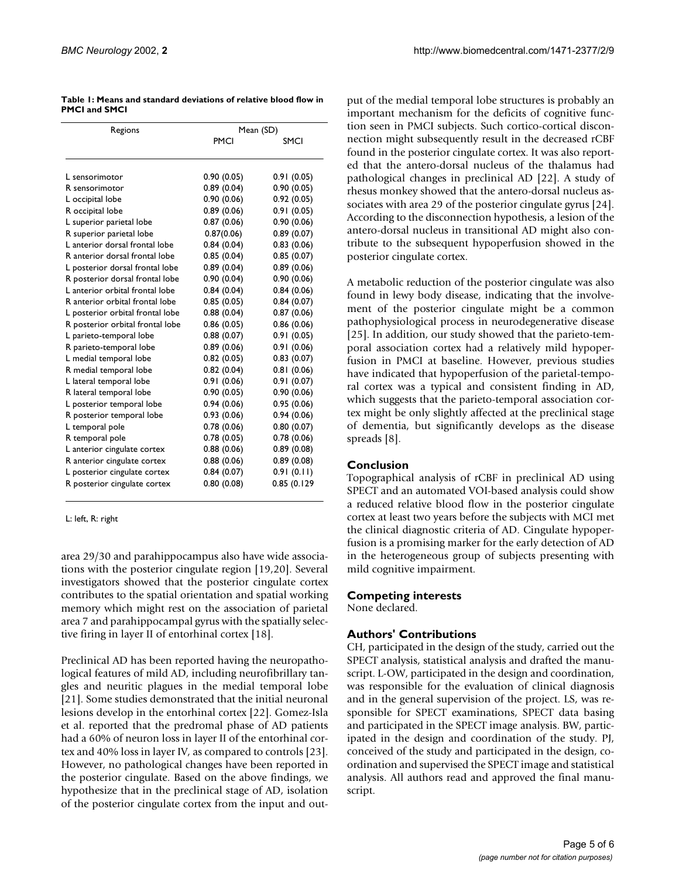| Table 1: Means and standard deviations of relative blood flow in |  |  |
|------------------------------------------------------------------|--|--|
| <b>PMCI and SMCI</b>                                             |  |  |

| Regions                          | Mean (SD)  |             |  |
|----------------------------------|------------|-------------|--|
|                                  | PMCI       | SMCI        |  |
|                                  |            |             |  |
| L sensorimotor                   | 0.90(0.05) | 0.91(0.05)  |  |
| R sensorimotor                   | 0.89(0.04) | 0.90(0.05)  |  |
| L occipital lobe                 | 0.90(0.06) | 0.92(0.05)  |  |
| R occipital lobe                 | 0.89(0.06) | 0.91(0.05)  |  |
| L superior parietal lobe         | 0.87(0.06) | 0.90(0.06)  |  |
| R superior parietal lobe         | 0.87(0.06) | 0.89(0.07)  |  |
| L anterior dorsal frontal lobe   | 0.84(0.04) | 0.83(0.06)  |  |
| R anterior dorsal frontal lobe   | 0.85(0.04) | 0.85(0.07)  |  |
| L posterior dorsal frontal lobe  | 0.89(0.04) | 0.89(0.06)  |  |
| R posterior dorsal frontal lobe  | 0.90(0.04) | 0.90(0.06)  |  |
| Lanterior orbital frontal lobe   | 0.84(0.04) | 0.84(0.06)  |  |
| R anterior orbital frontal lobe  | 0.85(0.05) | 0.84(0.07)  |  |
| L posterior orbital frontal lobe | 0.88(0.04) | 0.87(0.06)  |  |
| R posterior orbital frontal lobe | 0.86(0.05) | 0.86(0.06)  |  |
| L parieto-temporal lobe          | 0.88(0.07) | 0.91(0.05)  |  |
| R parieto-temporal lobe          | 0.89(0.06) | 0.91(0.06)  |  |
| L medial temporal lobe           | 0.82(0.05) | 0.83(0.07)  |  |
| R medial temporal lobe           | 0.82(0.04) | 0.81(0.06)  |  |
| L lateral temporal lobe          | 0.91(0.06) | 0.91(0.07)  |  |
| R lateral temporal lobe          | 0.90(0.05) | 0.90(0.06)  |  |
| L posterior temporal lobe        | 0.94(0.06) | 0.95(0.06)  |  |
| R posterior temporal lobe        | 0.93(0.06) | 0.94(0.06)  |  |
| L temporal pole                  | 0.78(0.06) | 0.80(0.07)  |  |
| R temporal pole                  | 0.78(0.05) | 0.78(0.06)  |  |
| L anterior cingulate cortex      | 0.88(0.06) | 0.89(0.08)  |  |
| R anterior cingulate cortex      | 0.88(0.06) | 0.89(0.08)  |  |
| L posterior cingulate cortex     | 0.84(0.07) | 0.91(0.11)  |  |
| R posterior cingulate cortex     | 0.80(0.08) | 0.85(0.129) |  |

L: left, R: right

area 29/30 and parahippocampus also have wide associations with the posterior cingulate region [19,20]. Several investigators showed that the posterior cingulate cortex contributes to the spatial orientation and spatial working memory which might rest on the association of parietal area 7 and parahippocampal gyrus with the spatially selective firing in layer II of entorhinal cortex [18].

Preclinical AD has been reported having the neuropathological features of mild AD, including neurofibrillary tangles and neuritic plagues in the medial temporal lobe [21]. Some studies demonstrated that the initial neuronal lesions develop in the entorhinal cortex [22]. Gomez-Isla et al. reported that the predromal phase of AD patients had a 60% of neuron loss in layer II of the entorhinal cortex and 40% loss in layer IV, as compared to controls [23]. However, no pathological changes have been reported in the posterior cingulate. Based on the above findings, we hypothesize that in the preclinical stage of AD, isolation of the posterior cingulate cortex from the input and output of the medial temporal lobe structures is probably an important mechanism for the deficits of cognitive function seen in PMCI subjects. Such cortico-cortical disconnection might subsequently result in the decreased rCBF found in the posterior cingulate cortex. It was also reported that the antero-dorsal nucleus of the thalamus had pathological changes in preclinical AD [22]. A study of rhesus monkey showed that the antero-dorsal nucleus associates with area 29 of the posterior cingulate gyrus [24]. According to the disconnection hypothesis, a lesion of the antero-dorsal nucleus in transitional AD might also contribute to the subsequent hypoperfusion showed in the posterior cingulate cortex.

A metabolic reduction of the posterior cingulate was also found in lewy body disease, indicating that the involvement of the posterior cingulate might be a common pathophysiological process in neurodegenerative disease [25]. In addition, our study showed that the parieto-temporal association cortex had a relatively mild hypoperfusion in PMCI at baseline. However, previous studies have indicated that hypoperfusion of the parietal-temporal cortex was a typical and consistent finding in AD, which suggests that the parieto-temporal association cortex might be only slightly affected at the preclinical stage of dementia, but significantly develops as the disease spreads [8].

# **Conclusion**

Topographical analysis of rCBF in preclinical AD using SPECT and an automated VOI-based analysis could show a reduced relative blood flow in the posterior cingulate cortex at least two years before the subjects with MCI met the clinical diagnostic criteria of AD. Cingulate hypoperfusion is a promising marker for the early detection of AD in the heterogeneous group of subjects presenting with mild cognitive impairment.

# **Competing interests**

None declared.

# **Authors' Contributions**

CH, participated in the design of the study, carried out the SPECT analysis, statistical analysis and drafted the manuscript. L-OW, participated in the design and coordination, was responsible for the evaluation of clinical diagnosis and in the general supervision of the project. LS, was responsible for SPECT examinations, SPECT data basing and participated in the SPECT image analysis. BW, participated in the design and coordination of the study. PJ, conceived of the study and participated in the design, coordination and supervised the SPECT image and statistical analysis. All authors read and approved the final manuscript.